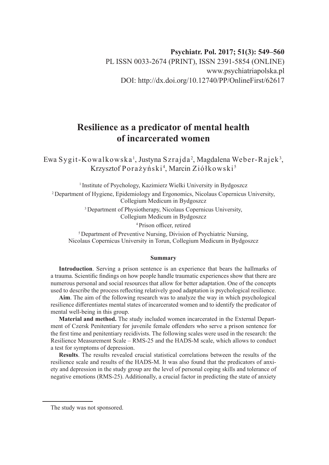**Psychiatr. Pol. 2017; 51(3): 549–560** PL ISSN 0033-2674 (PRINT), ISSN 2391-5854 (ONLINE) www.psychiatriapolska.pl DOI: http://dx.doi.org/10.12740/PP/OnlineFirst/62617

# **Resilience as a predicator of mental health of incarcerated women**

Ewa Sygit-Kowalkowska<sup>1</sup>, Justyna Szrajda<sup>2</sup>, Magdalena Weber-Rajek<sup>3</sup>, Krzysztof Porażyński<sup>4</sup>, Marcin Ziółkowski<sup>5</sup>

<sup>1</sup> Institute of Psychology, Kazimierz Wielki University in Bydgoszcz

2 Department of Hygiene, Epidemiology and Ergonomics, Nicolaus Copernicus University, Collegium Medicum in Bydgoszcz

3 Department of Physiotherapy, Nicolaus Copernicus University,

Collegium Medicum in Bydgoszcz

<sup>4</sup>Prison officer, retired

<sup>5</sup> Department of Preventive Nursing, Division of Psychiatric Nursing, Nicolaus Copernicus University in Torun, Collegium Medicum in Bydgoszcz

#### **Summary**

**Introduction**. Serving a prison sentence is an experience that bears the hallmarks of a trauma. Scientific findings on how people handle traumatic experiences show that there are numerous personal and social resources that allow for better adaptation. One of the concepts used to describe the process reflecting relatively good adaptation is psychological resilience.

**Aim**. The aim of the following research was to analyze the way in which psychological resilience differentiates mental states of incarcerated women and to identify the predicator of mental well-being in this group.

**Material and method.** The study included women incarcerated in the External Department of Czersk Penitentiary for juvenile female offenders who serve a prison sentence for the first time and penitentiary recidivists. The following scales were used in the research: the Resilience Measurement Scale – RMS-25 and the HADS-M scale, which allows to conduct a test for symptoms of depression.

**Results**. The results revealed crucial statistical correlations between the results of the resilience scale and results of the HADS-M. It was also found that the predicators of anxiety and depression in the study group are the level of personal coping skills and tolerance of negative emotions (RMS-25). Additionally, a crucial factor in predicting the state of anxiety

The study was not sponsored.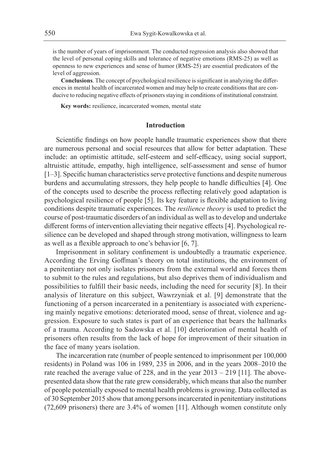is the number of years of imprisonment. The conducted regression analysis also showed that the level of personal coping skills and tolerance of negative emotions (RMS-25) as well as openness to new experiences and sense of humor (RMS-25) are essential predicators of the level of aggression.

**Conclusions**. The concept of psychological resilience is significant in analyzing the differences in mental health of incarcerated women and may help to create conditions that are conducive to reducing negative effects of prisoners staying in conditions of institutional constraint.

**Key words:** resilience, incarcerated women, mental state

#### **Introduction**

Scientific findings on how people handle traumatic experiences show that there are numerous personal and social resources that allow for better adaptation. These include: an optimistic attitude, self-esteem and self-efficacy, using social support, altruistic attitude, empathy, high intelligence, self-assessment and sense of humor [1–3]. Specific human characteristics serve protective functions and despite numerous burdens and accumulating stressors, they help people to handle difficulties [4]. One of the concepts used to describe the process reflecting relatively good adaptation is psychological resilience of people [5]. Its key feature is flexible adaptation to living conditions despite traumatic experiences. The *resilience theory* is used to predict the course of post-traumatic disorders of an individual as well as to develop and undertake different forms of intervention alleviating their negative effects [4]. Psychological resilience can be developed and shaped through strong motivation, willingness to learn as well as a flexible approach to one's behavior [6, 7].

Imprisonment in solitary confinement is undoubtedly a traumatic experience. According the Erving Goffman's theory on total institutions, the environment of a penitentiary not only isolates prisoners from the external world and forces them to submit to the rules and regulations, but also deprives them of individualism and possibilities to fulfill their basic needs, including the need for security [8]. In their analysis of literature on this subject, Wawrzyniak et al. [9] demonstrate that the functioning of a person incarcerated in a penitentiary is associated with experiencing mainly negative emotions: deteriorated mood, sense of threat, violence and aggression. Exposure to such states is part of an experience that bears the hallmarks of a trauma. According to Sadowska et al. [10] deterioration of mental health of prisoners often results from the lack of hope for improvement of their situation in the face of many years isolation.

The incarceration rate (number of people sentenced to imprisonment per 100,000 residents) in Poland was 106 in 1989, 235 in 2006, and in the years 2008–2010 the rate reached the average value of 228, and in the year 2013 – 219 [11]. The abovepresented data show that the rate grew considerably, which means that also the number of people potentially exposed to mental health problems is growing. Data collected as of 30 September 2015 show that among persons incarcerated in penitentiary institutions (72,609 prisoners) there are 3.4% of women [11]. Although women constitute only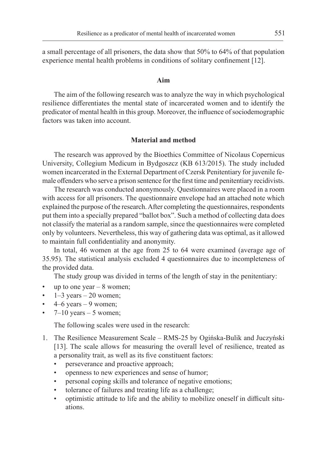a small percentage of all prisoners, the data show that 50% to 64% of that population experience mental health problems in conditions of solitary confinement [12].

## **Aim**

The aim of the following research was to analyze the way in which psychological resilience differentiates the mental state of incarcerated women and to identify the predicator of mental health in this group. Moreover, the influence of sociodemographic factors was taken into account.

# **Material and method**

The research was approved by the Bioethics Committee of Nicolaus Copernicus University, Collegium Medicum in Bydgoszcz (KB 613/2015). The study included women incarcerated in the External Department of Czersk Penitentiary for juvenile female offenders who serve a prison sentence for the first time and penitentiary recidivists.

The research was conducted anonymously. Questionnaires were placed in a room with access for all prisoners. The questionnaire envelope had an attached note which explained the purpose of the research. After completing the questionnaires, respondents put them into a specially prepared "ballot box". Such a method of collecting data does not classify the material as a random sample, since the questionnaires were completed only by volunteers. Nevertheless, this way of gathering data was optimal, as it allowed to maintain full confidentiality and anonymity.

In total, 46 women at the age from 25 to 64 were examined (average age of 35.95). The statistical analysis excluded 4 questionnaires due to incompleteness of the provided data.

The study group was divided in terms of the length of stay in the penitentiary:

- up to one year  $-8$  women;
- $\cdot$  1–3 years 20 women;
- $4-6$  years  $-9$  women;
- $\cdot$  7–10 years 5 women;

The following scales were used in the research:

- 1. The Resilience Measurement Scale RMS-25 by Ogińska-Bulik and Juczyński [13]. The scale allows for measuring the overall level of resilience, treated as a personality trait, as well as its five constituent factors:
	- perseverance and proactive approach;
	- openness to new experiences and sense of humor;
	- personal coping skills and tolerance of negative emotions;
	- tolerance of failures and treating life as a challenge;
	- optimistic attitude to life and the ability to mobilize oneself in difficult situations.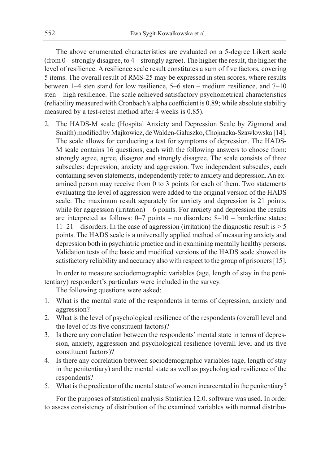The above enumerated characteristics are evaluated on a 5-degree Likert scale (from  $0$  – strongly disagree, to  $4$  – strongly agree). The higher the result, the higher the level of resilience. A resilience scale result constitutes a sum of five factors, covering 5 items. The overall result of RMS-25 may be expressed in sten scores, where results between 1–4 sten stand for low resilience, 5–6 sten – medium resilience, and 7–10 sten – high resilience. The scale achieved satisfactory psychometrical characteristics (reliability measured with Cronbach's alpha coefficient is 0.89; while absolute stability measured by a test-retest method after 4 weeks is 0.85).

2. The HADS-M scale (Hospital Anxiety and Depression Scale by Zigmond and Snaith) modified by Majkowicz, de Walden-Gałuszko, Chojnacka-Szawłowska [14]. The scale allows for conducting a test for symptoms of depression. The HADS-M scale contains 16 questions, each with the following answers to choose from: strongly agree, agree, disagree and strongly disagree. The scale consists of three subscales: depression, anxiety and aggression. Two independent subscales, each containing seven statements, independently refer to anxiety and depression. An examined person may receive from 0 to 3 points for each of them. Two statements evaluating the level of aggression were added to the original version of the HADS scale. The maximum result separately for anxiety and depression is 21 points, while for aggression (irritation) – 6 points. For anxiety and depression the results are interpreted as follows: 0–7 points – no disorders; 8–10 – borderline states;  $11–21$  – disorders. In the case of aggression (irritation) the diagnostic result is  $> 5$ points. The HADS scale is a universally applied method of measuring anxiety and depression both in psychiatric practice and in examining mentally healthy persons. Validation tests of the basic and modified versions of the HADS scale showed its satisfactory reliability and accuracy also with respect to the group of prisoners [15].

In order to measure sociodemographic variables (age, length of stay in the penitentiary) respondent's particulars were included in the survey.

The following questions were asked:

- 1. What is the mental state of the respondents in terms of depression, anxiety and aggression?
- 2. What is the level of psychological resilience of the respondents (overall level and the level of its five constituent factors)?
- 3. Is there any correlation between the respondents' mental state in terms of depression, anxiety, aggression and psychological resilience (overall level and its five constituent factors)?
- 4. Is there any correlation between sociodemographic variables (age, length of stay in the penitentiary) and the mental state as well as psychological resilience of the respondents?
- 5. What is the predicator of the mental state of women incarcerated in the penitentiary?

For the purposes of statistical analysis Statistica 12.0. software was used. In order to assess consistency of distribution of the examined variables with normal distribu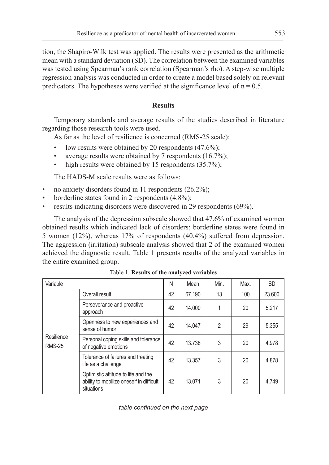tion, the Shapiro-Wilk test was applied. The results were presented as the arithmetic mean with a standard deviation (SD). The correlation between the examined variables was tested using Spearman's rank correlation (Spearman's rho). A step-wise multiple regression analysis was conducted in order to create a model based solely on relevant predicators. The hypotheses were verified at the significance level of  $\alpha = 0.5$ .

# **Results**

Temporary standards and average results of the studies described in literature regarding those research tools were used.

As far as the level of resilience is concerned (RMS-25 scale):

- low results were obtained by 20 respondents (47.6%);
- average results were obtained by 7 respondents  $(16.7\%)$ ;
- high results were obtained by 15 respondents (35.7%);

The HADS-M scale results were as follows:

- no anxiety disorders found in 11 respondents (26.2%);
- borderline states found in 2 respondents (4.8%);
- results indicating disorders were discovered in 29 respondents (69%).

The analysis of the depression subscale showed that 47.6% of examined women obtained results which indicated lack of disorders; borderline states were found in 5 women (12%), whereas 17% of respondents (40.4%) suffered from depression. The aggression (irritation) subscale analysis showed that 2 of the examined women achieved the diagnostic result. Table 1 presents results of the analyzed variables in the entire examined group.

| Variable                    |                                                                                               | N  | Mean   | Min. | Max. | <b>SD</b> |
|-----------------------------|-----------------------------------------------------------------------------------------------|----|--------|------|------|-----------|
| Resilience<br><b>RMS-25</b> | Overall result                                                                                |    | 67.190 | 13   | 100  | 23,600    |
|                             | Perseverance and proactive<br>approach                                                        | 42 | 14.000 |      | 20   | 5.217     |
|                             | Openness to new experiences and<br>sense of humor                                             | 42 | 14.047 | 2    | 29   | 5.355     |
|                             | Personal coping skills and tolerance<br>of negative emotions                                  | 42 | 13.738 | 3    | 20   | 4.978     |
|                             | Tolerance of failures and treating<br>life as a challenge                                     | 42 | 13.357 | 3    | 20   | 4.878     |
|                             | Optimistic attitude to life and the<br>ability to mobilize oneself in difficult<br>situations | 42 | 13.071 | 3    | 20   | 4.749     |

Table 1. **Results of the analyzed variables**

*table continued on the next page*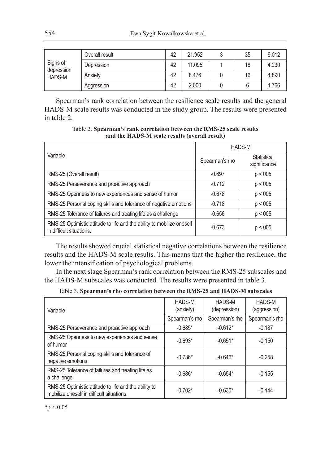| Signs of<br>depression<br><b>HADS-M</b> | Overall result | 42 | 21.952 | 35 | 9.012 |
|-----------------------------------------|----------------|----|--------|----|-------|
|                                         | Depression     | 42 | 11.095 | 18 | 4.230 |
|                                         | Anxiety        | 42 | 8.476  | 16 | 4.890 |
|                                         | Aggression     | 42 | 2.000  |    | 1.766 |

Spearman's rank correlation between the resilience scale results and the general HADS-M scale results was conducted in the study group. The results were presented in table 2.

Table 2. **Spearman's rank correlation between the RMS-25 scale results and the HADS-M scale results (overall result)**

|                                                                                                    | <b>HADS-M</b>  |                             |  |  |
|----------------------------------------------------------------------------------------------------|----------------|-----------------------------|--|--|
| Variable                                                                                           | Spearman's rho | Statistical<br>significance |  |  |
| RMS-25 (Overall result)                                                                            | $-0.697$       | p < 005                     |  |  |
| RMS-25 Perseverance and proactive approach                                                         | $-0.712$       | p < 005                     |  |  |
| RMS-25 Openness to new experiences and sense of humor                                              | $-0.678$       | p < 005                     |  |  |
| RMS-25 Personal coping skills and tolerance of negative emotions                                   | $-0.718$       | p < 005                     |  |  |
| RMS-25 Tolerance of failures and treating life as a challenge                                      | $-0.656$       | p < 005                     |  |  |
| RMS-25 Optimistic attitude to life and the ability to mobilize oneself<br>in difficult situations. | $-0.673$       | p < 005                     |  |  |

The results showed crucial statistical negative correlations between the resilience results and the HADS-M scale results. This means that the higher the resilience, the lower the intensification of psychological problems.

In the next stage Spearman's rank correlation between the RMS-25 subscales and the HADS-M subscales was conducted. The results were presented in table 3.

|  |  |  |  | Table 3. Spearman's rho correlation between the RMS-25 and HADS-M subscales |  |  |  |  |  |  |  |  |
|--|--|--|--|-----------------------------------------------------------------------------|--|--|--|--|--|--|--|--|
|--|--|--|--|-----------------------------------------------------------------------------|--|--|--|--|--|--|--|--|

| Variable                                                                                           | HADS-M<br>(anxiety) | <b>HADS-M</b><br>(depression) | <b>HADS-M</b><br>(aggression) |
|----------------------------------------------------------------------------------------------------|---------------------|-------------------------------|-------------------------------|
|                                                                                                    | Spearman's rho      | Spearman's rho                | Spearman's rho                |
| RMS-25 Perseverance and proactive approach                                                         | $-0.685*$           | $-0.612*$                     | $-0.187$                      |
| RMS-25 Openness to new experiences and sense<br>of humor                                           | $-0.693*$           | $-0.651*$                     | $-0.150$                      |
| RMS-25 Personal coping skills and tolerance of<br>negative emotions                                | $-0.736*$           | $-0.646*$                     | $-0.258$                      |
| RMS-25 Tolerance of failures and treating life as<br>a challenge                                   | $-0.686*$           | $-0.654*$                     | $-0.155$                      |
| RMS-25 Optimistic attitude to life and the ability to<br>mobilize oneself in difficult situations. | $-0.702*$           | $-0.630*$                     | $-0.144$                      |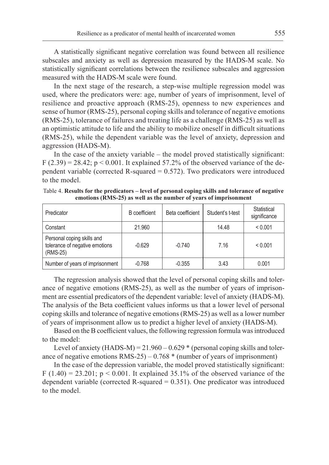A statistically significant negative correlation was found between all resilience subscales and anxiety as well as depression measured by the HADS-M scale. No statistically significant correlations between the resilience subscales and aggression measured with the HADS-M scale were found.

In the next stage of the research, a step-wise multiple regression model was used, where the predicators were: age, number of years of imprisonment, level of resilience and proactive approach (RMS-25), openness to new experiences and sense of humor (RMS-25), personal coping skills and tolerance of negative emotions (RMS-25), tolerance of failures and treating life as a challenge (RMS-25) as well as an optimistic attitude to life and the ability to mobilize oneself in difficult situations (RMS-25), while the dependent variable was the level of anxiety, depression and aggression (HADS-M).

In the case of the anxiety variable – the model proved statistically significant:  $F(2.39) = 28.42$ ;  $p < 0.001$ . It explained 57.2% of the observed variance of the dependent variable (corrected R-squared  $= 0.572$ ). Two predicators were introduced to the model.

| Predicator                                                               | <b>B</b> coefficient | Beta coefficient | Student's t-test | Statistical<br>significance |
|--------------------------------------------------------------------------|----------------------|------------------|------------------|-----------------------------|
| Constant                                                                 | 21.960               |                  | 14.48            | < 0.001                     |
| Personal coping skills and<br>tolerance of negative emotions<br>(RMS-25) | $-0.629$             | $-0.740$         | 7.16             | < 0.001                     |
| Number of years of imprisonment                                          | $-0.768$             | $-0.355$         | 3.43             | 0.001                       |

Table 4. **Results for the predicators – level of personal coping skills and tolerance of negative emotions (RMS-25) as well as the number of years of imprisonment**

The regression analysis showed that the level of personal coping skills and tolerance of negative emotions (RMS-25), as well as the number of years of imprisonment are essential predicators of the dependent variable: level of anxiety (HADS-M). The analysis of the Beta coefficient values informs us that a lower level of personal coping skills and tolerance of negative emotions (RMS-25) as well as a lower number of years of imprisonment allow us to predict a higher level of anxiety (HADS-M).

Based on the B coefficient values, the following regression formula was introduced to the model:

Level of anxiety  $(HADS-M) = 21.960 - 0.629$  \* (personal coping skills and tolerance of negative emotions  $RMS-25$ ) – 0.768  $*$  (number of years of imprisonment)

In the case of the depression variable, the model proved statistically significant: F  $(1.40) = 23.201$ ;  $p < 0.001$ . It explained 35.1% of the observed variance of the dependent variable (corrected R-squared  $= 0.351$ ). One predicator was introduced to the model.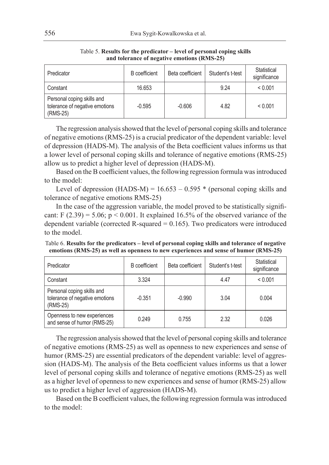| Predicator                                                               | <b>B</b> coefficient | Beta coefficient | Student's t-test | Statistical<br>significance |
|--------------------------------------------------------------------------|----------------------|------------------|------------------|-----------------------------|
| Constant                                                                 | 16.653               |                  | 9.24             | < 0.001                     |
| Personal coping skills and<br>tolerance of negative emotions<br>(RMS-25) | $-0.595$             | $-0.606$         | 4.82             | < 0.001                     |

Table 5. **Results for the predicator – level of personal coping skills and tolerance of negative emotions (RMS-25)**

The regression analysis showed that the level of personal coping skills and tolerance of negative emotions (RMS-25) is a crucial predicator of the dependent variable: level of depression (HADS-M). The analysis of the Beta coefficient values informs us that a lower level of personal coping skills and tolerance of negative emotions (RMS-25) allow us to predict a higher level of depression (HADS-M).

Based on the B coefficient values, the following regression formula was introduced to the model:

Level of depression (HADS-M) =  $16.653 - 0.595$  \* (personal coping skills and tolerance of negative emotions RMS-25)

In the case of the aggression variable, the model proved to be statistically significant: F  $(2.39) = 5.06$ ; p < 0.001. It explained 16.5% of the observed variance of the dependent variable (corrected R-squared  $= 0.165$ ). Two predicators were introduced to the model.

Table 6. **Results for the predicators – level of personal coping skills and tolerance of negative emotions (RMS-25) as well as openness to new experiences and sense of humor (RMS-25)**

| Predicator                                                               | <b>B</b> coefficient | Beta coefficient | Student's t-test | Statistical<br>significance |
|--------------------------------------------------------------------------|----------------------|------------------|------------------|-----------------------------|
| Constant                                                                 | 3.324                |                  | 4.47             | < 0.001                     |
| Personal coping skills and<br>tolerance of negative emotions<br>(RMS-25) | $-0.351$             | $-0.990$         | 3.04             | 0.004                       |
| Openness to new experiences<br>and sense of humor (RMS-25)               | 0.249                | 0.755            | 2.32             | 0.026                       |

The regression analysis showed that the level of personal coping skills and tolerance of negative emotions (RMS-25) as well as openness to new experiences and sense of humor (RMS-25) are essential predicators of the dependent variable: level of aggression (HADS-M). The analysis of the Beta coefficient values informs us that a lower level of personal coping skills and tolerance of negative emotions (RMS-25) as well as a higher level of openness to new experiences and sense of humor (RMS-25) allow us to predict a higher level of aggression (HADS-M).

Based on the B coefficient values, the following regression formula was introduced to the model: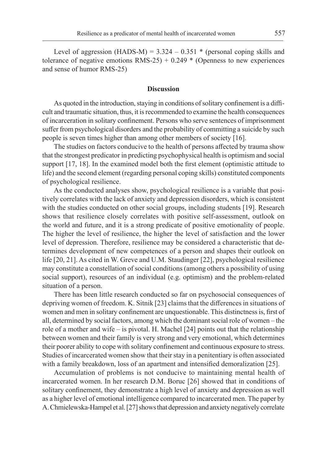Level of aggression (HADS-M) =  $3.324 - 0.351$  \* (personal coping skills and tolerance of negative emotions RMS-25) +  $0.249$  \* (Openness to new experiences and sense of humor RMS-25)

# **Discussion**

As quoted in the introduction, staying in conditions of solitary confinement is a difficult and traumatic situation, thus, it is recommended to examine the health consequences of incarceration in solitary confinement. Persons who serve sentences of imprisonment suffer from psychological disorders and the probability of committing a suicide by such people is seven times higher than among other members of society [16].

The studies on factors conducive to the health of persons affected by trauma show that the strongest predicator in predicting psychophysical health is optimism and social support [17, 18]. In the examined model both the first element (optimistic attitude to life) and the second element (regarding personal coping skills) constituted components of psychological resilience.

As the conducted analyses show, psychological resilience is a variable that positively correlates with the lack of anxiety and depression disorders, which is consistent with the studies conducted on other social groups, including students [19]. Research shows that resilience closely correlates with positive self-assessment, outlook on the world and future, and it is a strong predicate of positive emotionality of people. The higher the level of resilience, the higher the level of satisfaction and the lower level of depression. Therefore, resilience may be considered a characteristic that determines development of new competences of a person and shapes their outlook on life [20, 21]. As cited in W. Greve and U.M. Staudinger [22], psychological resilience may constitute a constellation of social conditions (among others a possibility of using social support), resources of an individual (e.g. optimism) and the problem-related situation of a person.

There has been little research conducted so far on psychosocial consequences of depriving women of freedom. K. Sitnik [23] claims that the differences in situations of women and men in solitary confinement are unquestionable. This distinctness is, first of all, determined by social factors, among which the dominant social role of women – the role of a mother and wife – is pivotal. H. Machel  $[24]$  points out that the relationship between women and their family is very strong and very emotional, which determines their poorer ability to cope with solitary confinement and continuous exposure to stress. Studies of incarcerated women show that their stay in a penitentiary is often associated with a family breakdown, loss of an apartment and intensified demoralization [25].

Accumulation of problems is not conducive to maintaining mental health of incarcerated women. In her research D.M. Boruc [26] showed that in conditions of solitary confinement, they demonstrate a high level of anxiety and depression as well as a higher level of emotional intelligence compared to incarcerated men. The paper by A. Chmielewska-Hampel et al. [27] shows that depression and anxiety negatively correlate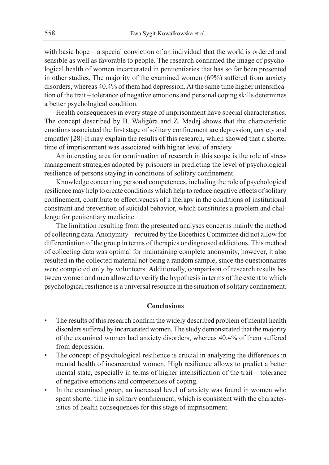with basic hope – a special conviction of an individual that the world is ordered and sensible as well as favorable to people. The research confirmed the image of psychological health of women incarcerated in penitentiaries that has so far been presented in other studies. The majority of the examined women (69%) suffered from anxiety disorders, whereas 40.4% of them had depression. At the same time higher intensification of the trait – tolerance of negative emotions and personal coping skills determines a better psychological condition.

Health consequences in every stage of imprisonment have special characteristics. The concept described by B. Waligóra and Z. Madej shows that the characteristic emotions associated the first stage of solitary confinement are depression, anxiety and empathy [28]. It may explain the results of this research, which showed that a shorter time of imprisonment was associated with higher level of anxiety.

An interesting area for continuation of research in this scope is the role of stress management strategies adopted by prisoners in predicting the level of psychological resilience of persons staying in conditions of solitary confinement.

Knowledge concerning personal competences, including the role of psychological resilience may help to create conditions which help to reduce negative effects of solitary confinement, contribute to effectiveness of a therapy in the conditions of institutional constraint and prevention of suicidal behavior, which constitutes a problem and challenge for penitentiary medicine.

The limitation resulting from the presented analyses concerns mainly the method of collecting data. Anonymity – required by the Bioethics Committee did not allow for differentiation of the group in terms of therapies or diagnosed addictions. This method of collecting data was optimal for maintaining complete anonymity, however, it also resulted in the collected material not being a random sample, since the questionnaires were completed only by volunteers. Additionally, comparison of research results between women and men allowed to verify the hypothesis in terms of the extent to which psychological resilience is a universal resource in the situation of solitary confinement.

## **Conclusions**

- The results of this research confirm the widely described problem of mental health disorders suffered by incarcerated women. The study demonstrated that the majority of the examined women had anxiety disorders, whereas 40.4% of them suffered from depression.
- The concept of psychological resilience is crucial in analyzing the differences in mental health of incarcerated women. High resilience allows to predict a better mental state, especially in terms of higher intensification of the trait – tolerance of negative emotions and competences of coping.
- In the examined group, an increased level of anxiety was found in women who spent shorter time in solitary confinement, which is consistent with the characteristics of health consequences for this stage of imprisonment.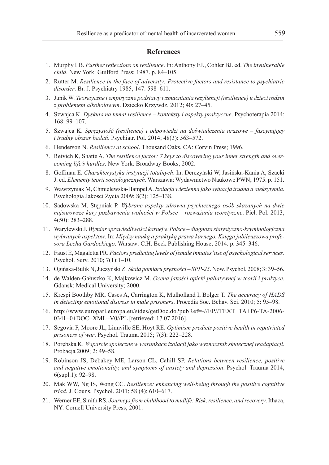## **References**

- 1. Murphy LB. *Further reflections on resilience*. In: Anthony EJ., Cohler BJ. ed. *The invulnerable child*. New York: Guilford Press; 1987. p. 84–105.
- 2. Rutter M. *Resilience in the face of adversity: Protective factors and resistance to psychiatric disorder*. Br. J. Psychiatry 1985; 147: 598–611.
- 3. Junik W. *Teoretyczne i empiryczne podstawy wzmacniania rezyliencji (resilience) u dzieci rodzin z problemem alkoholowym*. Dziecko Krzywdz. 2012; 40: 27–45.
- 4. Szwajca K. *Dyskurs na temat resilience konteksty i aspekty praktyczne*. Psychoterapia 2014; 168: 99–107.
- 5. Szwajca K. *Sprężystość (resilience) i odpowiedzi na doświadczenia urazowe fascynujący i trudny obszar badań*. Psychiatr. Pol. 2014; 48(3): 563–572.
- 6. Henderson N. *Resiliency at school*. Thousand Oaks, CA: Corvin Press; 1996.
- 7. Reivich K, Shatte A. *The resilience factor: 7 keys to discovering your inner strength and overcoming life's hurdles*. New York: Broadway Books; 2002.
- 8. Goffman E. *Charakterystyka instytucji totalnych*. In: Derczyński W, Jasińska-Kania A, Szacki J. ed. *Elementy teorii socjologicznych*. Warszawa: Wydawnictwo Naukowe PWN; 1975. p. 151.
- 9. Wawrzyniak M, Chmielewska-Hampel A. *Izolacja więzienna jako sytuacja trudna a aleksytymia*. Psychologia Jakości Życia 2009; 8(2): 125–138.
- 10. Sadowska M, Stępniak P. *Wybrane aspekty zdrowia psychicznego osób skazanych na dwie najsurowsze kary pozbawienia wolności w Polsce – rozważania teoretyczne*. Piel. Pol. 2013; 4(50): 283–288.
- 11. Warylewski J. *Wymiar sprawiedliwości karnej w Polsce diagnoza statystyczno-kryminologiczna wybranych aspektów*. In: *Między nauką a praktyką prawa karnego. Księga jubileuszowa profesora Lecha Gardockiego*. Warsaw: C.H. Beck Publishing House; 2014. p. 345–346.
- 12. Faust E, Magaletta PR. *Factors predicting levels of female inmates' use of psychological services*. Psychol. Serv. 2010; 7(1):1–10.
- 13. Ogińska-Bulik N, Juczyński Z. *Skala pomiaru prężności SPP-25*. Now. Psychol. 2008; 3: 39–56.
- 14. de Walden-Gałuszko K, Majkowicz M. *Ocena jakości opieki paliatywnej w teorii i praktyce*. Gdansk: Medical University; 2000.
- 15. Krespi Boothby MR, Cases A, Carrington K, Mulholland I, Bolger T. *The accuracy of HADS in detecting emotional distress in male prisoners*. Procedia Soc. Behav. Sci. 2010; 5: 95–98.
- 16. http://www.europarl.europa.eu/sides/getDoc.do?pubRef=-//EP//TEXT+TA+P6-TA-2006- 0341+0+DOC+XML+V0//PL [retrieved: 17.07.2016].
- 17. Segovia F, Moore JL, Linnville SE, Hoyt RE. *Optimism predicts positive health in repatriated prisoners of war*. Psychol. Trauma 2015; 7(3): 222–228.
- 18. Porębska K. *Wsparcie społeczne w warunkach izolacji jako wyznacznik skutecznej readaptacji*. Probacja 2009; 2: 49–58.
- 19. Robinson JS, Debakey ME, Larson CL, Cahill SP. *Relations between resilience, positive and negative emotionality, and symptoms of anxiety and depression*. Psychol. Trauma 2014; 6(supl.1): 92–98.
- 20. Mak WW, Ng IS, Wong CC. *Resilience: enhancing well-being through the positive cognitive triad*. J. Couns. Psychol. 2011; 58 (4): 610–617.
- 21. Werner EE, Smith RS. *Journeys from childhood to midlife: Risk, resilience, and recovery*. Ithaca, NY: Cornell University Press; 2001.